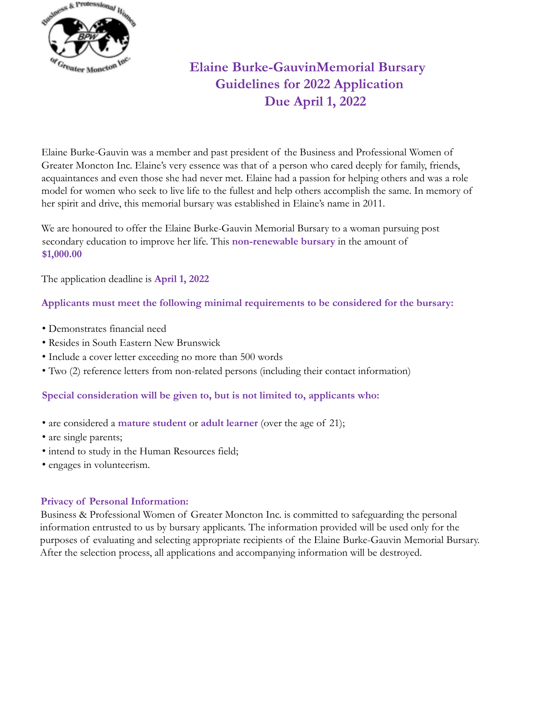

# **Elaine Burke-GauvinMemorial Bursary Guidelines for 2022 Application Due April 1, 2022**

Elaine Burke-Gauvin was a member and past president of the Business and Professional Women of Greater Moncton Inc. Elaine's very essence was that of a person who cared deeply for family, friends, acquaintances and even those she had never met. Elaine had a passion for helping others and was a role model for women who seek to live life to the fullest and help others accomplish the same. In memory of her spirit and drive, this memorial bursary was established in Elaine's name in 2011.

We are honoured to offer the Elaine Burke-Gauvin Memorial Bursary to a woman pursuing post secondary education to improve her life. This **non-renewable bursary** in the amount of **\$1,000.00**

The application deadline is **April 1, 2022**

### **Applicants must meet the following minimal requirements to be considered for the bursary:**

- Demonstrates financial need
- Resides in South Eastern New Brunswick
- Include a cover letter exceeding no more than 500 words
- Two (2) reference letters from non-related persons (including their contact information)

#### **Special consideration will be given to, but is not limited to, applicants who:**

- are considered a **mature student** or **adult learner** (over the age of 21);
- are single parents;
- intend to study in the Human Resources field;
- engages in volunteerism.

#### **Privacy of Personal Information:**

Business & Professional Women of Greater Moncton Inc. is committed to safeguarding the personal information entrusted to us by bursary applicants. The information provided will be used only for the purposes of evaluating and selecting appropriate recipients of the Elaine Burke-Gauvin Memorial Bursary. After the selection process, all applications and accompanying information will be destroyed.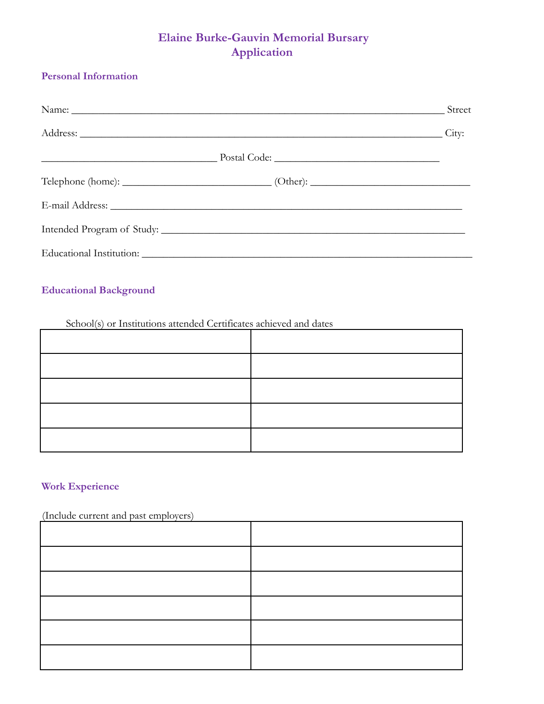## **Elaine Burke-Gauvin Memorial Bursary Application**

### **Personal Information**

|                                                                                                                                                                                                                                | Street |
|--------------------------------------------------------------------------------------------------------------------------------------------------------------------------------------------------------------------------------|--------|
| Address: City:                                                                                                                                                                                                                 |        |
|                                                                                                                                                                                                                                |        |
|                                                                                                                                                                                                                                |        |
|                                                                                                                                                                                                                                |        |
|                                                                                                                                                                                                                                |        |
| Educational Institution: Letters and the set of the set of the set of the set of the set of the set of the set of the set of the set of the set of the set of the set of the set of the set of the set of the set of the set o |        |

### **Educational Background**

Ē

#### School(s) or Institutions attended Certificates achieved and dates

### **Work Experience**

### (Include current and past employers)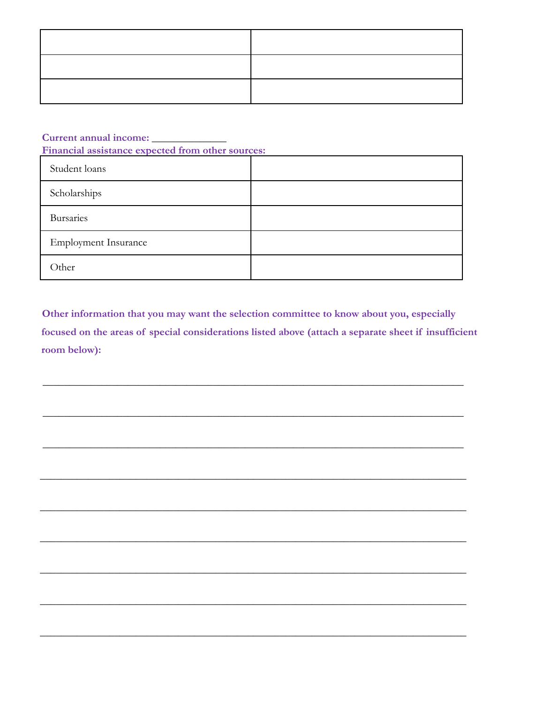Current annual income:

Financial assistance expected from other sources:

| Student loans               |  |
|-----------------------------|--|
| Scholarships                |  |
| <b>Bursaries</b>            |  |
| <b>Employment Insurance</b> |  |
| Other                       |  |

Other information that you may want the selection committee to know about you, especially focused on the areas of special considerations listed above (attach a separate sheet if insufficient room below):